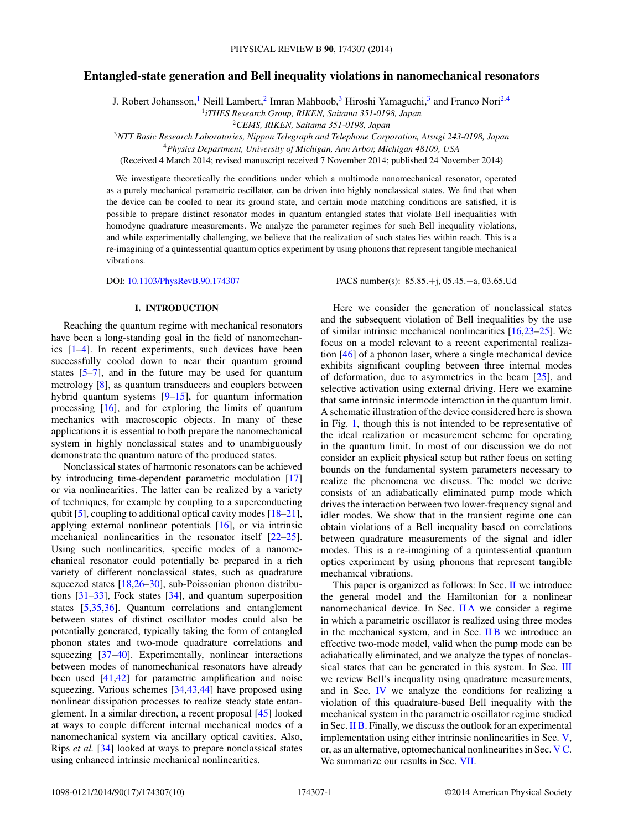# **Entangled-state generation and Bell inequality violations in nanomechanical resonators**

J. Robert Johansson,<sup>1</sup> Neill Lambert,<sup>2</sup> Imran Mahboob,<sup>3</sup> Hiroshi Yamaguchi,<sup>3</sup> and Franco Nori<sup>2,4</sup>

<sup>1</sup>*iTHES Research Group, RIKEN, Saitama 351-0198, Japan*

<sup>2</sup>*CEMS, RIKEN, Saitama 351-0198, Japan*

<sup>3</sup>*NTT Basic Research Laboratories, Nippon Telegraph and Telephone Corporation, Atsugi 243-0198, Japan*

<sup>4</sup>*Physics Department, University of Michigan, Ann Arbor, Michigan 48109, USA*

(Received 4 March 2014; revised manuscript received 7 November 2014; published 24 November 2014)

We investigate theoretically the conditions under which a multimode nanomechanical resonator, operated as a purely mechanical parametric oscillator, can be driven into highly nonclassical states. We find that when the device can be cooled to near its ground state, and certain mode matching conditions are satisfied, it is possible to prepare distinct resonator modes in quantum entangled states that violate Bell inequalities with homodyne quadrature measurements. We analyze the parameter regimes for such Bell inequality violations, and while experimentally challenging, we believe that the realization of such states lies within reach. This is a re-imagining of a quintessential quantum optics experiment by using phonons that represent tangible mechanical vibrations.

DOI: [10.1103/PhysRevB.90.174307](http://dx.doi.org/10.1103/PhysRevB.90.174307) PACS number(s): 85*.*85*.*+j*,* 05*.*45*.*−a*,* 03*.*65*.*Ud

#### **I. INTRODUCTION**

Reaching the quantum regime with mechanical resonators have been a long-standing goal in the field of nanomechanics [\[1–4\]](#page-8-0). In recent experiments, such devices have been successfully cooled down to near their quantum ground states [\[5–7\]](#page-8-0), and in the future may be used for quantum metrology [\[8\]](#page-8-0), as quantum transducers and couplers between hybrid quantum systems [\[9–15\]](#page-8-0), for quantum information processing [\[16\]](#page-8-0), and for exploring the limits of quantum mechanics with macroscopic objects. In many of these applications it is essential to both prepare the nanomechanical system in highly nonclassical states and to unambiguously demonstrate the quantum nature of the produced states.

Nonclassical states of harmonic resonators can be achieved by introducing time-dependent parametric modulation [\[17\]](#page-8-0) or via nonlinearities. The latter can be realized by a variety of techniques, for example by coupling to a superconducting qubit [\[5\]](#page-8-0), coupling to additional optical cavity modes [\[18–21\]](#page-8-0), applying external nonlinear potentials [\[16\]](#page-8-0), or via intrinsic mechanical nonlinearities in the resonator itself [\[22](#page-8-0)[–25\]](#page-9-0). Using such nonlinearities, specific modes of a nanomechanical resonator could potentially be prepared in a rich variety of different nonclassical states, such as quadrature squeezed states [\[18](#page-8-0)[,26–30\]](#page-9-0), sub-Poissonian phonon distributions [\[31–33\]](#page-9-0), Fock states [\[34\]](#page-9-0), and quantum superposition states [\[5](#page-8-0)[,35,36\]](#page-9-0). Quantum correlations and entanglement between states of distinct oscillator modes could also be potentially generated, typically taking the form of entangled phonon states and two-mode quadrature correlations and squeezing [\[37–40\]](#page-9-0). Experimentally, nonlinear interactions between modes of nanomechanical resonators have already been used [\[41,42\]](#page-9-0) for parametric amplification and noise squeezing. Various schemes [\[34,43,44\]](#page-9-0) have proposed using nonlinear dissipation processes to realize steady state entanglement. In a similar direction, a recent proposal [\[45\]](#page-9-0) looked at ways to couple different internal mechanical modes of a nanomechanical system via ancillary optical cavities. Also, Rips *et al.* [\[34\]](#page-9-0) looked at ways to prepare nonclassical states using enhanced intrinsic mechanical nonlinearities.

Here we consider the generation of nonclassical states and the subsequent violation of Bell inequalities by the use of similar intrinsic mechanical nonlinearities [\[16,23](#page-8-0)[–25\]](#page-9-0). We focus on a model relevant to a recent experimental realization [\[46\]](#page-9-0) of a phonon laser, where a single mechanical device exhibits significant coupling between three internal modes of deformation, due to asymmetries in the beam [\[25\]](#page-9-0), and selective activation using external driving. Here we examine that same intrinsic intermode interaction in the quantum limit. A schematic illustration of the device considered here is shown in Fig. [1,](#page-1-0) though this is not intended to be representative of the ideal realization or measurement scheme for operating in the quantum limit. In most of our discussion we do not consider an explicit physical setup but rather focus on setting bounds on the fundamental system parameters necessary to realize the phenomena we discuss. The model we derive consists of an adiabatically eliminated pump mode which drives the interaction between two lower-frequency signal and idler modes. We show that in the transient regime one can obtain violations of a Bell inequality based on correlations between quadrature measurements of the signal and idler modes. This is a re-imagining of a quintessential quantum optics experiment by using phonons that represent tangible mechanical vibrations.

This paper is organized as follows: In Sec. [II](#page-1-0) we introduce the general model and the Hamiltonian for a nonlinear nanomechanical device. In Sec. [II A](#page-1-0) we consider a regime in which a parametric oscillator is realized using three modes in the mechanical system, and in Sec. [II B](#page-1-0) we introduce an effective two-mode model, valid when the pump mode can be adiabatically eliminated, and we analyze the types of nonclas-sical states that can be generated in this system. In Sec. [III](#page-3-0) we review Bell's inequality using quadrature measurements, and in Sec. [IV](#page-4-0) we analyze the conditions for realizing a violation of this quadrature-based Bell inequality with the mechanical system in the parametric oscillator regime studied in Sec. [II B.](#page-1-0) Finally, we discuss the outlook for an experimental implementation using either intrinsic nonlinearities in Sec. [V,](#page-5-0) or, as an alternative, optomechanical nonlinearities in Sec. [V C.](#page-7-0) We summarize our results in Sec. [VII.](#page-8-0)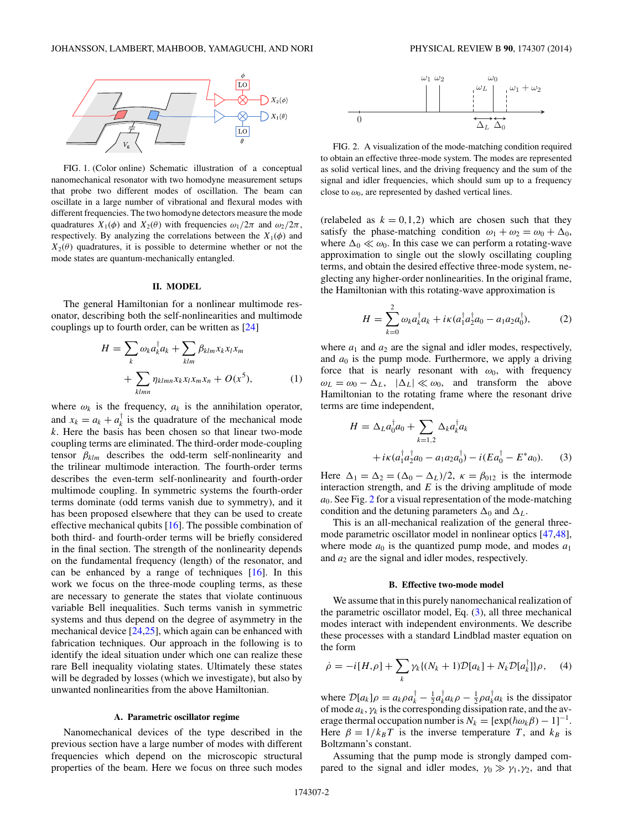<span id="page-1-0"></span>

FIG. 1. (Color online) Schematic illustration of a conceptual nanomechanical resonator with two homodyne measurement setups that probe two different modes of oscillation. The beam can oscillate in a large number of vibrational and flexural modes with different frequencies. The two homodyne detectors measure the mode quadratures  $X_1(\phi)$  and  $X_2(\theta)$  with frequencies  $\omega_1/2\pi$  and  $\omega_2/2\pi$ , respectively. By analyzing the correlations between the  $X_1(\phi)$  and  $X_2(\theta)$  quadratures, it is possible to determine whether or not the mode states are quantum-mechanically entangled.

#### **II. MODEL**

The general Hamiltonian for a nonlinear multimode resonator, describing both the self-nonlinearities and multimode couplings up to fourth order, can be written as [\[24\]](#page-9-0)

$$
H = \sum_{k} \omega_{k} a_{k}^{\dagger} a_{k} + \sum_{klm} \beta_{klm} x_{k} x_{l} x_{m}
$$

$$
+ \sum_{klmn} \eta_{klmn} x_{k} x_{l} x_{m} x_{n} + O(x^{5}), \qquad (1)
$$

where  $\omega_k$  is the frequency,  $a_k$  is the annihilation operator, and  $x_k = a_k + a_k^{\dagger}$  is the quadrature of the mechanical mode *k*. Here the basis has been chosen so that linear two-mode coupling terms are eliminated. The third-order mode-coupling tensor *βklm* describes the odd-term self-nonlinearity and the trilinear multimode interaction. The fourth-order terms describes the even-term self-nonlinearity and fourth-order multimode coupling. In symmetric systems the fourth-order terms dominate (odd terms vanish due to symmetry), and it has been proposed elsewhere that they can be used to create effective mechanical qubits [\[16\]](#page-8-0). The possible combination of both third- and fourth-order terms will be briefly considered in the final section. The strength of the nonlinearity depends on the fundamental frequency (length) of the resonator, and can be enhanced by a range of techniques [\[16\]](#page-8-0). In this work we focus on the three-mode coupling terms, as these are necessary to generate the states that violate continuous variable Bell inequalities. Such terms vanish in symmetric systems and thus depend on the degree of asymmetry in the mechanical device [\[24,25\]](#page-9-0), which again can be enhanced with fabrication techniques. Our approach in the following is to identify the ideal situation under which one can realize these rare Bell inequality violating states. Ultimately these states will be degraded by losses (which we investigate), but also by unwanted nonlinearities from the above Hamiltonian.

## **A. Parametric oscillator regime**

Nanomechanical devices of the type described in the previous section have a large number of modes with different frequencies which depend on the microscopic structural properties of the beam. Here we focus on three such modes



FIG. 2. A visualization of the mode-matching condition required to obtain an effective three-mode system. The modes are represented as solid vertical lines, and the driving frequency and the sum of the signal and idler frequencies, which should sum up to a frequency close to  $\omega_0$ , are represented by dashed vertical lines.

(relabeled as  $k = 0, 1, 2$ ) which are chosen such that they satisfy the phase-matching condition  $\omega_1 + \omega_2 = \omega_0 + \Delta_0$ , where  $\Delta_0 \ll \omega_0$ . In this case we can perform a rotating-wave approximation to single out the slowly oscillating coupling terms, and obtain the desired effective three-mode system, neglecting any higher-order nonlinearities. In the original frame, the Hamiltonian with this rotating-wave approximation is

$$
H = \sum_{k=0}^{2} \omega_k a_k^{\dagger} a_k + i\kappa (a_1^{\dagger} a_2^{\dagger} a_0 - a_1 a_2 a_0^{\dagger}),
$$
 (2)

where  $a_1$  and  $a_2$  are the signal and idler modes, respectively, and  $a_0$  is the pump mode. Furthermore, we apply a driving force that is nearly resonant with  $\omega_0$ , with frequency  $\omega_L = \omega_0 - \Delta_L$ ,  $|\Delta_L| \ll \omega_0$ , and transform the above Hamiltonian to the rotating frame where the resonant drive terms are time independent,

$$
H = \Delta_L a_0^{\dagger} a_0 + \sum_{k=1,2} \Delta_k a_k^{\dagger} a_k
$$
  
+  $i\kappa (a_1^{\dagger} a_2^{\dagger} a_0 - a_1 a_2 a_0^{\dagger}) - i(Ea_0^{\dagger} - E^* a_0).$  (3)

Here  $\Delta_1 = \Delta_2 = (\Delta_0 - \Delta_L)/2$ ,  $\kappa = \beta_{012}$  is the intermode interaction strength, and  $E$  is the driving amplitude of mode *a*0. See Fig. 2 for a visual representation of the mode-matching condition and the detuning parameters  $\Delta_0$  and  $\Delta_L$ .

This is an all-mechanical realization of the general threemode parametric oscillator model in nonlinear optics [\[47,48\]](#page-9-0), where mode  $a_0$  is the quantized pump mode, and modes  $a_1$ and  $a_2$  are the signal and idler modes, respectively.

#### **B. Effective two-mode model**

We assume that in this purely nanomechanical realization of the parametric oscillator model, Eq. (3), all three mechanical modes interact with independent environments. We describe these processes with a standard Lindblad master equation on the form

$$
\dot{\rho} = -i[H, \rho] + \sum_{k} \gamma_k \{ (N_k + 1) \mathcal{D}[a_k] + N_k \mathcal{D}[a_k^{\dagger}] \} \rho, \quad (4)
$$

where  $\mathcal{D}[a_k]\rho = a_k \rho a_k^{\dagger} - \frac{1}{2} a_k^{\dagger} a_k \rho - \frac{1}{2} \rho a_k^{\dagger} a_k$  is the dissipator of mode  $a_k$ ,  $\gamma_k$  is the corresponding dissipation rate, and the average thermal occupation number is  $N_k = [\exp(\hbar \omega_k \beta) - 1]^{-1}$ . Here  $\beta = 1/k_B T$  is the inverse temperature *T*, and  $k_B$  is Boltzmann's constant.

Assuming that the pump mode is strongly damped compared to the signal and idler modes,  $\gamma_0 \gg \gamma_1, \gamma_2$ , and that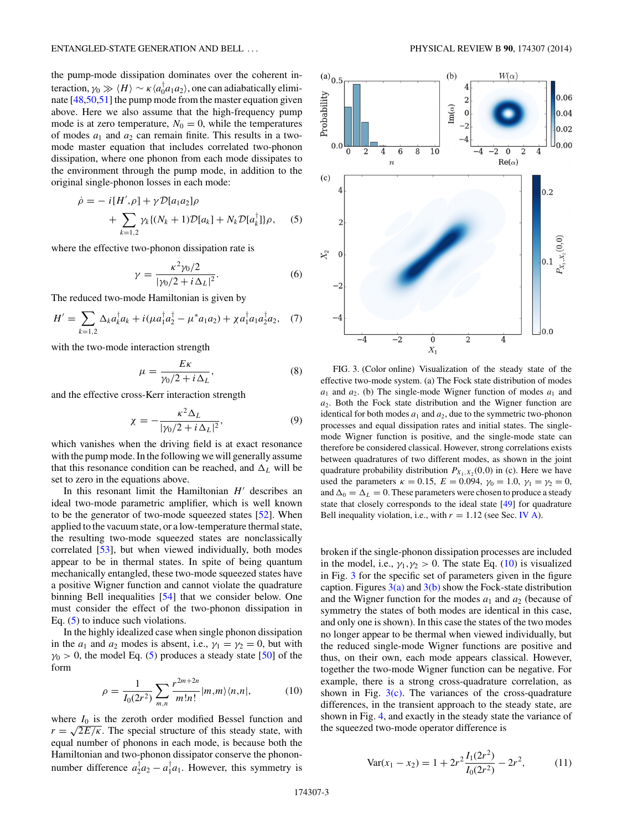<span id="page-2-0"></span>the pump-mode dissipation dominates over the coherent interaction,  $\gamma_0 \gg \langle H \rangle \sim \kappa \langle a_0^\dagger a_1 a_2 \rangle$ , one can adiabatically eliminate [\[48,50,51\]](#page-9-0) the pump mode from the master equation given above. Here we also assume that the high-frequency pump mode is at zero temperature,  $N_0 = 0$ , while the temperatures of modes  $a_1$  and  $a_2$  can remain finite. This results in a twomode master equation that includes correlated two-phonon dissipation, where one phonon from each mode dissipates to the environment through the pump mode, in addition to the original single-phonon losses in each mode:

$$
\dot{\rho} = -i[H', \rho] + \gamma \mathcal{D}[a_1 a_2] \rho + \sum_{k=1,2} \gamma_k \{ (N_k + 1) \mathcal{D}[a_k] + N_k \mathcal{D}[a_k^{\dagger}] \} \rho, \quad (5)
$$

where the effective two-phonon dissipation rate is

$$
\gamma = \frac{\kappa^2 \gamma_0 / 2}{|\gamma_0 / 2 + i \Delta_L|^2}.
$$
 (6)

The reduced two-mode Hamiltonian is given by

$$
H' = \sum_{k=1,2} \Delta_k a_k^{\dagger} a_k + i(\mu a_1^{\dagger} a_2^{\dagger} - \mu^* a_1 a_2) + \chi a_1^{\dagger} a_1 a_2^{\dagger} a_2, \quad (7)
$$

with the two-mode interaction strength

$$
\mu = \frac{E\kappa}{\gamma_0/2 + i\,\Delta_L},\tag{8}
$$

and the effective cross-Kerr interaction strength

$$
\chi = -\frac{\kappa^2 \Delta_L}{|\gamma_0/2 + i \Delta_L|^2},\tag{9}
$$

which vanishes when the driving field is at exact resonance with the pump mode. In the following we will generally assume that this resonance condition can be reached, and  $\Delta_L$  will be set to zero in the equations above.

In this resonant limit the Hamiltonian  $H'$  describes an ideal two-mode parametric amplifier, which is well known to be the generator of two-mode squeezed states [\[52\]](#page-9-0). When applied to the vacuum state, or a low-temperature thermal state, the resulting two-mode squeezed states are nonclassically correlated [\[53\]](#page-9-0), but when viewed individually, both modes appear to be in thermal states. In spite of being quantum mechanically entangled, these two-mode squeezed states have a positive Wigner function and cannot violate the quadrature binning Bell inequalities [\[54\]](#page-9-0) that we consider below. One must consider the effect of the two-phonon dissipation in Eq. (5) to induce such violations.

In the highly idealized case when single phonon dissipation in the  $a_1$  and  $a_2$  modes is absent, i.e.,  $\gamma_1 = \gamma_2 = 0$ , but with  $\gamma_0$  > 0, the model Eq. (5) produces a steady state [\[50\]](#page-9-0) of the form

$$
\rho = \frac{1}{I_0(2r^2)} \sum_{m,n} \frac{r^{2m+2n}}{m!n!} |m,m\rangle \langle n,n|,
$$
 (10)

where  $I_0$  is the zeroth order modified Bessel function and  $r = \sqrt{2E/\kappa}$ . The special structure of this steady state, with equal number of phonons in each mode, is because both the Hamiltonian and two-phonon dissipator conserve the phononnumber difference  $a_2^{\dagger} a_2 - a_1^{\dagger} a_1$ . However, this symmetry is



FIG. 3. (Color online) Visualization of the steady state of the effective two-mode system. (a) The Fock state distribution of modes  $a_1$  and  $a_2$ . (b) The single-mode Wigner function of modes  $a_1$  and *a*2. Both the Fock state distribution and the Wigner function are identical for both modes  $a_1$  and  $a_2$ , due to the symmetric two-phonon processes and equal dissipation rates and initial states. The singlemode Wigner function is positive, and the single-mode state can therefore be considered classical. However, strong correlations exists between quadratures of two different modes, as shown in the joint quadrature probability distribution  $P_{X_1, X_2}(0,0)$  in (c). Here we have used the parameters  $\kappa = 0.15$ ,  $E = 0.094$ ,  $\gamma_0 = 1.0$ ,  $\gamma_1 = \gamma_2 = 0$ , and  $\Delta_0 = \Delta_L = 0$ . These parameters were chosen to produce a steady state that closely corresponds to the ideal state [\[49\]](#page-9-0) for quadrature Bell inequality violation, i.e., with  $r = 1.12$  (see Sec. [IV A\)](#page-4-0).

broken if the single-phonon dissipation processes are included in the model, i.e.,  $\gamma_1, \gamma_2 > 0$ . The state Eq. (10) is visualized in Fig. 3 for the specific set of parameters given in the figure caption. Figures  $3(a)$  and  $3(b)$  show the Fock-state distribution and the Wigner function for the modes  $a_1$  and  $a_2$  (because of symmetry the states of both modes are identical in this case, and only one is shown). In this case the states of the two modes no longer appear to be thermal when viewed individually, but the reduced single-mode Wigner functions are positive and thus, on their own, each mode appears classical. However, together the two-mode Wigner function can be negative. For example, there is a strong cross-quadrature correlation, as shown in Fig.  $3(c)$ . The variances of the cross-quadrature differences, in the transient approach to the steady state, are shown in Fig. [4,](#page-3-0) and exactly in the steady state the variance of the squeezed two-mode operator difference is

$$
\text{Var}(x_1 - x_2) = 1 + 2r^2 \frac{I_1(2r^2)}{I_0(2r^2)} - 2r^2,\tag{11}
$$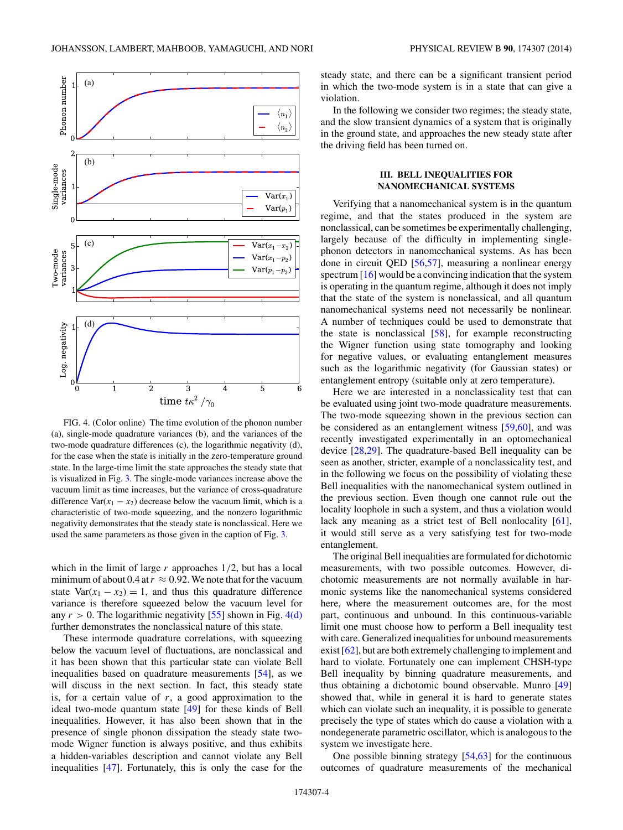<span id="page-3-0"></span>

FIG. 4. (Color online) The time evolution of the phonon number (a), single-mode quadrature variances (b), and the variances of the two-mode quadrature differences (c), the logarithmic negativity (d), for the case when the state is initially in the zero-temperature ground state. In the large-time limit the state approaches the steady state that is visualized in Fig. [3.](#page-2-0) The single-mode variances increase above the vacuum limit as time increases, but the variance of cross-quadrature difference Var( $x_1 - x_2$ ) decrease below the vacuum limit, which is a characteristic of two-mode squeezing, and the nonzero logarithmic negativity demonstrates that the steady state is nonclassical. Here we used the same parameters as those given in the caption of Fig. [3.](#page-2-0)

which in the limit of large *r* approaches 1*/*2, but has a local minimum of about 0.4 at  $r \approx 0.92$ . We note that for the vacuum state  $Var(x_1 - x_2) = 1$ , and thus this quadrature difference variance is therefore squeezed below the vacuum level for any  $r > 0$ . The logarithmic negativity [\[55\]](#page-9-0) shown in Fig. 4(d) further demonstrates the nonclassical nature of this state.

These intermode quadrature correlations, with squeezing below the vacuum level of fluctuations, are nonclassical and it has been shown that this particular state can violate Bell inequalities based on quadrature measurements [\[54\]](#page-9-0), as we will discuss in the next section. In fact, this steady state is, for a certain value of *r*, a good approximation to the ideal two-mode quantum state [\[49\]](#page-9-0) for these kinds of Bell inequalities. However, it has also been shown that in the presence of single phonon dissipation the steady state twomode Wigner function is always positive, and thus exhibits a hidden-variables description and cannot violate any Bell inequalities [\[47\]](#page-9-0). Fortunately, this is only the case for the steady state, and there can be a significant transient period in which the two-mode system is in a state that can give a violation.

In the following we consider two regimes; the steady state, and the slow transient dynamics of a system that is originally in the ground state, and approaches the new steady state after the driving field has been turned on.

# **III. BELL INEQUALITIES FOR NANOMECHANICAL SYSTEMS**

Verifying that a nanomechanical system is in the quantum regime, and that the states produced in the system are nonclassical, can be sometimes be experimentally challenging, largely because of the difficulty in implementing singlephonon detectors in nanomechanical systems. As has been done in circuit QED [\[56,57\]](#page-9-0), measuring a nonlinear energy spectrum [\[16\]](#page-8-0) would be a convincing indication that the system is operating in the quantum regime, although it does not imply that the state of the system is nonclassical, and all quantum nanomechanical systems need not necessarily be nonlinear. A number of techniques could be used to demonstrate that the state is nonclassical [\[58\]](#page-9-0), for example reconstructing the Wigner function using state tomography and looking for negative values, or evaluating entanglement measures such as the logarithmic negativity (for Gaussian states) or entanglement entropy (suitable only at zero temperature).

Here we are interested in a nonclassicality test that can be evaluated using joint two-mode quadrature measurements. The two-mode squeezing shown in the previous section can be considered as an entanglement witness [\[59,60\]](#page-9-0), and was recently investigated experimentally in an optomechanical device [\[28,29\]](#page-9-0). The quadrature-based Bell inequality can be seen as another, stricter, example of a nonclassicality test, and in the following we focus on the possibility of violating these Bell inequalities with the nanomechanical system outlined in the previous section. Even though one cannot rule out the locality loophole in such a system, and thus a violation would lack any meaning as a strict test of Bell nonlocality [\[61\]](#page-9-0), it would still serve as a very satisfying test for two-mode entanglement.

The original Bell inequalities are formulated for dichotomic measurements, with two possible outcomes. However, dichotomic measurements are not normally available in harmonic systems like the nanomechanical systems considered here, where the measurement outcomes are, for the most part, continuous and unbound. In this continuous-variable limit one must choose how to perform a Bell inequality test with care. Generalized inequalities for unbound measurements exist [\[62\]](#page-9-0), but are both extremely challenging to implement and hard to violate. Fortunately one can implement CHSH-type Bell inequality by binning quadrature measurements, and thus obtaining a dichotomic bound observable. Munro [\[49\]](#page-9-0) showed that, while in general it is hard to generate states which can violate such an inequality, it is possible to generate precisely the type of states which do cause a violation with a nondegenerate parametric oscillator, which is analogous to the system we investigate here.

One possible binning strategy [\[54,63\]](#page-9-0) for the continuous outcomes of quadrature measurements of the mechanical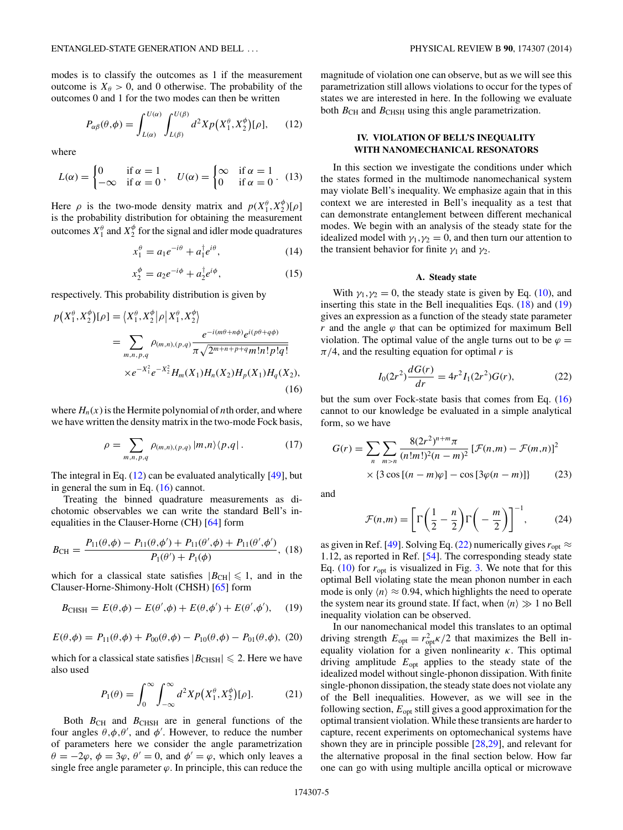<span id="page-4-0"></span>modes is to classify the outcomes as 1 if the measurement outcome is  $X_{\theta} > 0$ , and 0 otherwise. The probability of the outcomes 0 and 1 for the two modes can then be written

$$
P_{\alpha\beta}(\theta,\phi) = \int_{L(\alpha)}^{U(\alpha)} \int_{L(\beta)}^{U(\beta)} d^2 X p\big(X_1^{\theta}, X_2^{\phi}\big)[\rho],\qquad(12)
$$

where

$$
L(\alpha) = \begin{cases} 0 & \text{if } \alpha = 1 \\ -\infty & \text{if } \alpha = 0 \end{cases}, \quad U(\alpha) = \begin{cases} \infty & \text{if } \alpha = 1 \\ 0 & \text{if } \alpha = 0 \end{cases}.
$$
 (13)

Here  $\rho$  is the two-mode density matrix and  $p(X_1^{\theta}, X_2^{\phi})[\rho]$ is the probability distribution for obtaining the measurement outcomes  $X_1^{\theta}$  and  $X_2^{\phi}$  for the signal and idler mode quadratures

$$
x_1^{\theta} = a_1 e^{-i\theta} + a_1^{\dagger} e^{i\theta}, \qquad (14)
$$

$$
x_2^{\phi} = a_2 e^{-i\phi} + a_2^{\dagger} e^{i\phi}, \qquad (15)
$$

respectively. This probability distribution is given by

$$
p(X_1^{\theta}, X_2^{\phi})[\rho] = \langle X_1^{\theta}, X_2^{\phi} | \rho | X_1^{\theta}, X_2^{\phi} \rangle
$$
  
= 
$$
\sum_{m,n,p,q} \rho_{(m,n),(p,q)} \frac{e^{-i(m\theta + n\phi)} e^{i(p\theta + q\phi)}}{\pi \sqrt{2^{m+n+p+q} m! n! p! q!}}
$$
  
×  $e^{-X_1^2} e^{-X_2^2} H_m(X_1) H_n(X_2) H_p(X_1) H_q(X_2),$  (16)

where  $H_n(x)$  is the Hermite polynomial of *n*th order, and where we have written the density matrix in the two-mode Fock basis,

$$
\rho = \sum_{m,n,p,q} \rho_{(m,n),(p,q)} |m,n\rangle \langle p,q| \,. \tag{17}
$$

The integral in Eq. (12) can be evaluated analytically [\[49\]](#page-9-0), but in general the sum in Eq. (16) cannot.

Treating the binned quadrature measurements as dichotomic observables we can write the standard Bell's inequalities in the Clauser-Horne (CH) [\[64\]](#page-9-0) form

$$
B_{\rm CH} = \frac{P_{11}(\theta, \phi) - P_{11}(\theta, \phi') + P_{11}(\theta', \phi) + P_{11}(\theta', \phi')}{P_1(\theta') + P_1(\phi)}, \tag{18}
$$

which for a classical state satisfies  $|B_{\text{CH}}| \leq 1$ , and in the Clauser-Horne-Shimony-Holt (CHSH) [\[65\]](#page-9-0) form

$$
B_{\text{CHSH}} = E(\theta, \phi) - E(\theta', \phi) + E(\theta, \phi') + E(\theta', \phi'), \quad (19)
$$

$$
E(\theta, \phi) = P_{11}(\theta, \phi) + P_{00}(\theta, \phi) - P_{10}(\theta, \phi) - P_{01}(\theta, \phi), (20)
$$

which for a classical state satisfies  $|B_{\text{CHSH}}| \le 2$ . Here we have also used

$$
P_1(\theta) = \int_0^\infty \int_{-\infty}^\infty d^2 X p\big(X_1^{\theta}, X_2^{\phi}\big)[\rho].\tag{21}
$$

Both  $B_{\text{CH}}$  and  $B_{\text{CHSH}}$  are in general functions of the four angles  $\theta$ , $\phi$ , $\theta'$ , and  $\phi'$ . However, to reduce the number of parameters here we consider the angle parametrization  $\theta = -2\varphi$ ,  $\phi = 3\varphi$ ,  $\theta' = 0$ , and  $\phi' = \varphi$ , which only leaves a single free angle parameter  $\varphi$ . In principle, this can reduce the magnitude of violation one can observe, but as we will see this parametrization still allows violations to occur for the types of states we are interested in here. In the following we evaluate both  $B_{\text{CH}}$  and  $B_{\text{CHSH}}$  using this angle parametrization.

# **IV. VIOLATION OF BELL'S INEQUALITY WITH NANOMECHANICAL RESONATORS**

In this section we investigate the conditions under which the states formed in the multimode nanomechanical system may violate Bell's inequality. We emphasize again that in this context we are interested in Bell's inequality as a test that can demonstrate entanglement between different mechanical modes. We begin with an analysis of the steady state for the idealized model with  $\gamma_1, \gamma_2 = 0$ , and then turn our attention to the transient behavior for finite  $\gamma_1$  and  $\gamma_2$ .

## **A. Steady state**

With  $\gamma_1, \gamma_2 = 0$ , the steady state is given by Eq. [\(10\)](#page-2-0), and inserting this state in the Bell inequalities Eqs. (18) and (19) gives an expression as a function of the steady state parameter *r* and the angle  $\varphi$  that can be optimized for maximum Bell violation. The optimal value of the angle turns out to be  $\varphi =$  $\pi/4$ , and the resulting equation for optimal *r* is

$$
I_0(2r^2)\frac{dG(r)}{dr} = 4r^2I_1(2r^2)G(r),\tag{22}
$$

but the sum over Fock-state basis that comes from Eq. (16) cannot to our knowledge be evaluated in a simple analytical form, so we have

$$
G(r) = \sum_{n} \sum_{m>n} \frac{8(2r^2)^{n+m} \pi}{(n!m!)^2 (n-m)^2} \left[ \mathcal{F}(n,m) - \mathcal{F}(m,n) \right]^2
$$
  
× {3 cos [(n - m)φ] - cos [3φ(n - m)]} (23)

and

$$
\mathcal{F}(n,m) = \left[\Gamma\left(\frac{1}{2} - \frac{n}{2}\right)\Gamma\left(-\frac{m}{2}\right)\right]^{-1},\tag{24}
$$

as given in Ref. [\[49\]](#page-9-0). Solving Eq. (22) numerically gives  $r_{opt} \approx$ 1*.*12, as reported in Ref. [\[54\]](#page-9-0). The corresponding steady state Eq.  $(10)$  for  $r_{opt}$  is visualized in Fig. [3.](#page-2-0) We note that for this optimal Bell violating state the mean phonon number in each mode is only  $\langle n \rangle \approx 0.94$ , which highlights the need to operate the system near its ground state. If fact, when  $\langle n \rangle \gg 1$  no Bell inequality violation can be observed.

In our nanomechanical model this translates to an optimal driving strength  $E_{opt} = r_{opt}^2 \kappa / 2$  that maximizes the Bell inequality violation for a given nonlinearity *κ*. This optimal driving amplitude *E*opt applies to the steady state of the idealized model without single-phonon dissipation. With finite single-phonon dissipation, the steady state does not violate any of the Bell inequalities. However, as we will see in the following section, *E*opt still gives a good approximation for the optimal transient violation. While these transients are harder to capture, recent experiments on optomechanical systems have shown they are in principle possible [\[28,29\]](#page-9-0), and relevant for the alternative proposal in the final section below. How far one can go with using multiple ancilla optical or microwave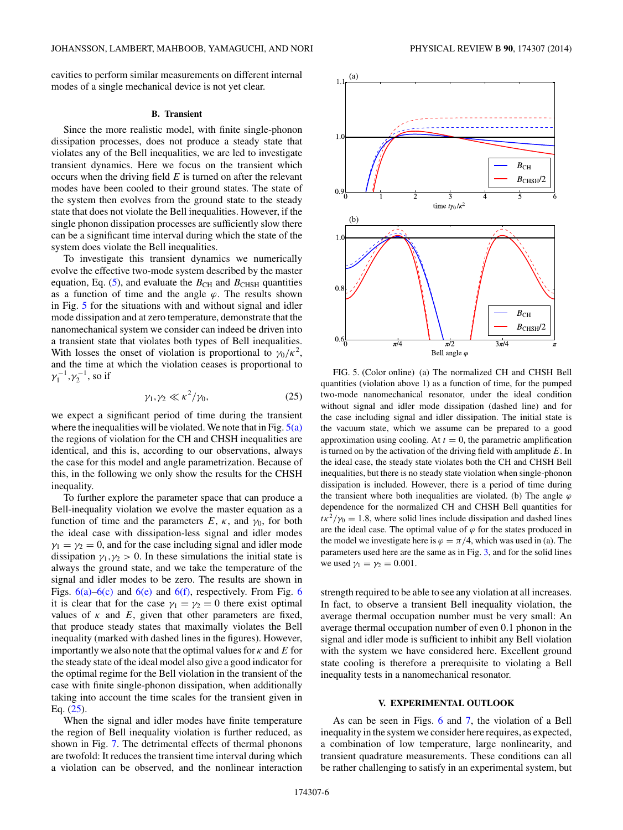<span id="page-5-0"></span>cavities to perform similar measurements on different internal modes of a single mechanical device is not yet clear.

### **B. Transient**

Since the more realistic model, with finite single-phonon dissipation processes, does not produce a steady state that violates any of the Bell inequalities, we are led to investigate transient dynamics. Here we focus on the transient which occurs when the driving field *E* is turned on after the relevant modes have been cooled to their ground states. The state of the system then evolves from the ground state to the steady state that does not violate the Bell inequalities. However, if the single phonon dissipation processes are sufficiently slow there can be a significant time interval during which the state of the system does violate the Bell inequalities.

To investigate this transient dynamics we numerically evolve the effective two-mode system described by the master equation, Eq. [\(5\)](#page-2-0), and evaluate the  $B_{\text{CH}}$  and  $B_{\text{CHSH}}$  quantities as a function of time and the angle  $\varphi$ . The results shown in Fig. 5 for the situations with and without signal and idler mode dissipation and at zero temperature, demonstrate that the nanomechanical system we consider can indeed be driven into a transient state that violates both types of Bell inequalities. With losses the onset of violation is proportional to  $\gamma_0/\kappa^2$ , and the time at which the violation ceases is proportional to  $γ_1^{-1}, γ_2^{-1}$ , so if

$$
\gamma_1, \gamma_2 \ll \kappa^2/\gamma_0,\tag{25}
$$

we expect a significant period of time during the transient where the inequalities will be violated. We note that in Fig.  $5(a)$ the regions of violation for the CH and CHSH inequalities are identical, and this is, according to our observations, always the case for this model and angle parametrization. Because of this, in the following we only show the results for the CHSH inequality.

To further explore the parameter space that can produce a Bell-inequality violation we evolve the master equation as a function of time and the parameters  $E$ ,  $\kappa$ , and  $\gamma_0$ , for both the ideal case with dissipation-less signal and idler modes  $\gamma_1 = \gamma_2 = 0$ , and for the case including signal and idler mode dissipation  $\gamma_1, \gamma_2 > 0$ . In these simulations the initial state is always the ground state, and we take the temperature of the signal and idler modes to be zero. The results are shown in Figs.  $6(a)$  $6(a)$ – $6(c)$  and  $6(e)$  and  $6(f)$ , respectively. From Fig. 6 it is clear that for the case  $\gamma_1 = \gamma_2 = 0$  there exist optimal values of  $\kappa$  and  $E$ , given that other parameters are fixed, that produce steady states that maximally violates the Bell inequality (marked with dashed lines in the figures). However, importantly we also note that the optimal values for  $\kappa$  and  $E$  for the steady state of the ideal model also give a good indicator for the optimal regime for the Bell violation in the transient of the case with finite single-phonon dissipation, when additionally taking into account the time scales for the transient given in Eq. (25).

When the signal and idler modes have finite temperature the region of Bell inequality violation is further reduced, as shown in Fig. [7.](#page-6-0) The detrimental effects of thermal phonons are twofold: It reduces the transient time interval during which a violation can be observed, and the nonlinear interaction



FIG. 5. (Color online) (a) The normalized CH and CHSH Bell quantities (violation above 1) as a function of time, for the pumped two-mode nanomechanical resonator, under the ideal condition without signal and idler mode dissipation (dashed line) and for the case including signal and idler dissipation. The initial state is the vacuum state, which we assume can be prepared to a good approximation using cooling. At  $t = 0$ , the parametric amplification is turned on by the activation of the driving field with amplitude *E*. In the ideal case, the steady state violates both the CH and CHSH Bell inequalities, but there is no steady state violation when single-phonon dissipation is included. However, there is a period of time during the transient where both inequalities are violated. (b) The angle  $\varphi$ dependence for the normalized CH and CHSH Bell quantities for  $t\kappa^2/\gamma_0 = 1.8$ , where solid lines include dissipation and dashed lines are the ideal case. The optimal value of  $\varphi$  for the states produced in the model we investigate here is  $\varphi = \pi/4$ , which was used in (a). The parameters used here are the same as in Fig. [3,](#page-2-0) and for the solid lines we used  $\gamma_1 = \gamma_2 = 0.001$ .

strength required to be able to see any violation at all increases. In fact, to observe a transient Bell inequality violation, the average thermal occupation number must be very small: An average thermal occupation number of even 0*.*1 phonon in the signal and idler mode is sufficient to inhibit any Bell violation with the system we have considered here. Excellent ground state cooling is therefore a prerequisite to violating a Bell inequality tests in a nanomechanical resonator.

### **V. EXPERIMENTAL OUTLOOK**

As can be seen in Figs. [6](#page-6-0) and [7,](#page-6-0) the violation of a Bell inequality in the system we consider here requires, as expected, a combination of low temperature, large nonlinearity, and transient quadrature measurements. These conditions can all be rather challenging to satisfy in an experimental system, but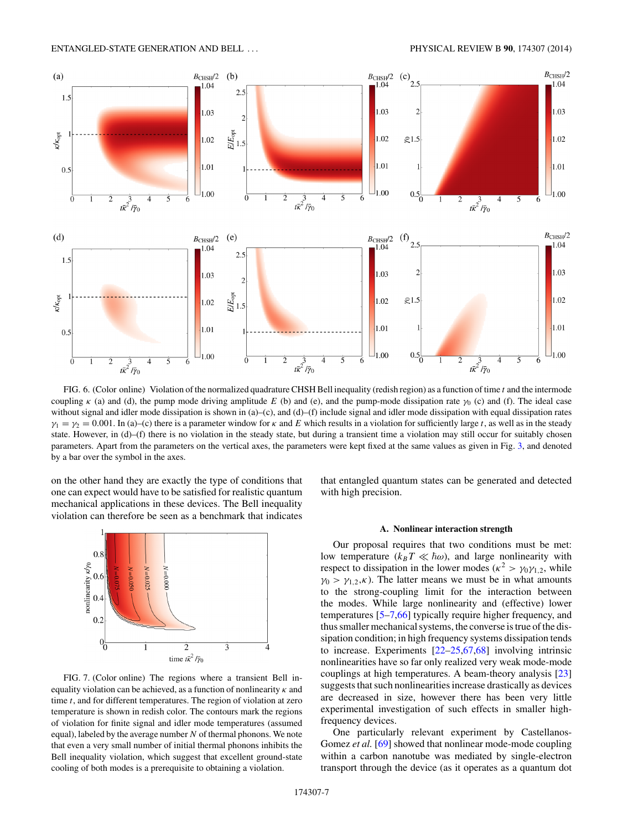<span id="page-6-0"></span>

FIG. 6. (Color online) Violation of the normalized quadrature CHSH Bell inequality (redish region) as a function of time *t* and the intermode coupling  $\kappa$  (a) and (d), the pump mode driving amplitude *E* (b) and (e), and the pump-mode dissipation rate  $\gamma_0$  (c) and (f). The ideal case without signal and idler mode dissipation is shown in (a)–(c), and (d)–(f) include signal and idler mode dissipation with equal dissipation rates  $\gamma_1 = \gamma_2 = 0.001$ . In (a)–(c) there is a parameter window for *κ* and *E* which results in a violation for sufficiently large *t*, as well as in the steady state. However, in (d)–(f) there is no violation in the steady state, but during a transient time a violation may still occur for suitably chosen parameters. Apart from the parameters on the vertical axes, the parameters were kept fixed at the same values as given in Fig. [3,](#page-2-0) and denoted by a bar over the symbol in the axes.

on the other hand they are exactly the type of conditions that one can expect would have to be satisfied for realistic quantum mechanical applications in these devices. The Bell inequality violation can therefore be seen as a benchmark that indicates



FIG. 7. (Color online) The regions where a transient Bell inequality violation can be achieved, as a function of nonlinearity *κ* and time *t*, and for different temperatures. The region of violation at zero temperature is shown in redish color. The contours mark the regions of violation for finite signal and idler mode temperatures (assumed equal), labeled by the average number *N* of thermal phonons. We note that even a very small number of initial thermal phonons inhibits the Bell inequality violation, which suggest that excellent ground-state cooling of both modes is a prerequisite to obtaining a violation.

that entangled quantum states can be generated and detected with high precision.

### **A. Nonlinear interaction strength**

Our proposal requires that two conditions must be met: low temperature  $(k_B T \ll \hbar \omega)$ , and large nonlinearity with respect to dissipation in the lower modes ( $\kappa^2 > \gamma_0 \gamma_{1,2}$ , while  $\gamma_0$  >  $\gamma_{1,2}$ *,κ*). The latter means we must be in what amounts to the strong-coupling limit for the interaction between the modes. While large nonlinearity and (effective) lower temperatures [\[5–7](#page-8-0)[,66\]](#page-9-0) typically require higher frequency, and thus smaller mechanical systems, the converse is true of the dissipation condition; in high frequency systems dissipation tends to increase. Experiments [\[22–](#page-8-0)[25,67,68\]](#page-9-0) involving intrinsic nonlinearities have so far only realized very weak mode-mode couplings at high temperatures. A beam-theory analysis [\[23\]](#page-8-0) suggests that such nonlinearities increase drastically as devices are decreased in size, however there has been very little experimental investigation of such effects in smaller highfrequency devices.

One particularly relevant experiment by Castellanos-Gomez *et al.* [\[69\]](#page-9-0) showed that nonlinear mode-mode coupling within a carbon nanotube was mediated by single-electron transport through the device (as it operates as a quantum dot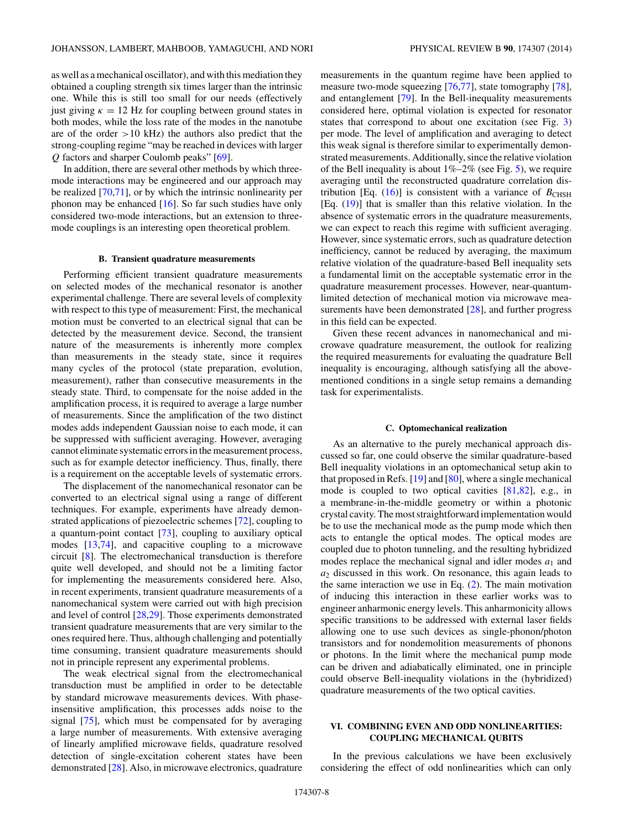<span id="page-7-0"></span>as well as a mechanical oscillator), and with this mediation they obtained a coupling strength six times larger than the intrinsic one. While this is still too small for our needs (effectively just giving  $\kappa = 12$  Hz for coupling between ground states in both modes, while the loss rate of the modes in the nanotube are of the order *>*10 kHz) the authors also predict that the strong-coupling regime "may be reached in devices with larger *Q* factors and sharper Coulomb peaks" [\[69\]](#page-9-0).

In addition, there are several other methods by which threemode interactions may be engineered and our approach may be realized [\[70,71\]](#page-9-0), or by which the intrinsic nonlinearity per phonon may be enhanced  $[16]$ . So far such studies have only considered two-mode interactions, but an extension to threemode couplings is an interesting open theoretical problem.

#### **B. Transient quadrature measurements**

Performing efficient transient quadrature measurements on selected modes of the mechanical resonator is another experimental challenge. There are several levels of complexity with respect to this type of measurement: First, the mechanical motion must be converted to an electrical signal that can be detected by the measurement device. Second, the transient nature of the measurements is inherently more complex than measurements in the steady state, since it requires many cycles of the protocol (state preparation, evolution, measurement), rather than consecutive measurements in the steady state. Third, to compensate for the noise added in the amplification process, it is required to average a large number of measurements. Since the amplification of the two distinct modes adds independent Gaussian noise to each mode, it can be suppressed with sufficient averaging. However, averaging cannot eliminate systematic errors in the measurement process, such as for example detector inefficiency. Thus, finally, there is a requirement on the acceptable levels of systematic errors.

The displacement of the nanomechanical resonator can be converted to an electrical signal using a range of different techniques. For example, experiments have already demonstrated applications of piezoelectric schemes [\[72\]](#page-9-0), coupling to a quantum-point contact [\[73\]](#page-9-0), coupling to auxiliary optical modes [\[13](#page-8-0)[,74\]](#page-9-0), and capacitive coupling to a microwave circuit [\[8\]](#page-8-0). The electromechanical transduction is therefore quite well developed, and should not be a limiting factor for implementing the measurements considered here. Also, in recent experiments, transient quadrature measurements of a nanomechanical system were carried out with high precision and level of control [\[28,29\]](#page-9-0). Those experiments demonstrated transient quadrature measurements that are very similar to the ones required here. Thus, although challenging and potentially time consuming, transient quadrature measurements should not in principle represent any experimental problems.

The weak electrical signal from the electromechanical transduction must be amplified in order to be detectable by standard microwave measurements devices. With phaseinsensitive amplification, this processes adds noise to the signal [\[75\]](#page-9-0), which must be compensated for by averaging a large number of measurements. With extensive averaging of linearly amplified microwave fields, quadrature resolved detection of single-excitation coherent states have been demonstrated [\[28\]](#page-9-0). Also, in microwave electronics, quadrature measurements in the quantum regime have been applied to measure two-mode squeezing [\[76,77\]](#page-9-0), state tomography [\[78\]](#page-9-0), and entanglement [\[79\]](#page-9-0). In the Bell-inequality measurements considered here, optimal violation is expected for resonator states that correspond to about one excitation (see Fig. [3\)](#page-2-0) per mode. The level of amplification and averaging to detect this weak signal is therefore similar to experimentally demonstrated measurements. Additionally, since the relative violation of the Bell inequality is about  $1\% - 2\%$  (see Fig. [5\)](#page-5-0), we require averaging until the reconstructed quadrature correlation distribution [Eq.  $(16)$ ] is consistent with a variance of  $B_{CHSH}$ [Eq. [\(19\)](#page-4-0)] that is smaller than this relative violation. In the absence of systematic errors in the quadrature measurements, we can expect to reach this regime with sufficient averaging. However, since systematic errors, such as quadrature detection inefficiency, cannot be reduced by averaging, the maximum relative violation of the quadrature-based Bell inequality sets a fundamental limit on the acceptable systematic error in the quadrature measurement processes. However, near-quantumlimited detection of mechanical motion via microwave measurements have been demonstrated [\[28\]](#page-9-0), and further progress in this field can be expected.

Given these recent advances in nanomechanical and microwave quadrature measurement, the outlook for realizing the required measurements for evaluating the quadrature Bell inequality is encouraging, although satisfying all the abovementioned conditions in a single setup remains a demanding task for experimentalists.

#### **C. Optomechanical realization**

As an alternative to the purely mechanical approach discussed so far, one could observe the similar quadrature-based Bell inequality violations in an optomechanical setup akin to that proposed in Refs. [\[19\]](#page-8-0) and [\[80\]](#page-9-0), where a single mechanical mode is coupled to two optical cavities [\[81,82\]](#page-9-0), e.g., in a membrane-in-the-middle geometry or within a photonic crystal cavity. The most straightforward implementation would be to use the mechanical mode as the pump mode which then acts to entangle the optical modes. The optical modes are coupled due to photon tunneling, and the resulting hybridized modes replace the mechanical signal and idler modes  $a_1$  and *a*<sup>2</sup> discussed in this work. On resonance, this again leads to the same interaction we use in Eq.  $(2)$ . The main motivation of inducing this interaction in these earlier works was to engineer anharmonic energy levels. This anharmonicity allows specific transitions to be addressed with external laser fields allowing one to use such devices as single-phonon/photon transistors and for nondemolition measurements of phonons or photons. In the limit where the mechanical pump mode can be driven and adiabatically eliminated, one in principle could observe Bell-inequality violations in the (hybridized) quadrature measurements of the two optical cavities.

# **VI. COMBINING EVEN AND ODD NONLINEARITIES: COUPLING MECHANICAL QUBITS**

In the previous calculations we have been exclusively considering the effect of odd nonlinearities which can only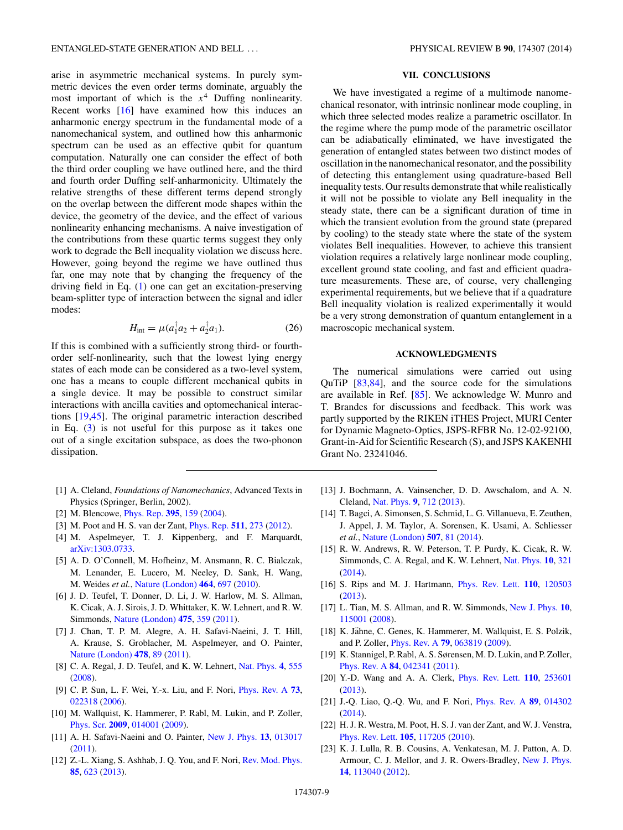<span id="page-8-0"></span>arise in asymmetric mechanical systems. In purely symmetric devices the even order terms dominate, arguably the most important of which is the *x*<sup>4</sup> Duffing nonlinearity. Recent works [16] have examined how this induces an anharmonic energy spectrum in the fundamental mode of a nanomechanical system, and outlined how this anharmonic spectrum can be used as an effective qubit for quantum computation. Naturally one can consider the effect of both the third order coupling we have outlined here, and the third and fourth order Duffing self-anharmonicity. Ultimately the relative strengths of these different terms depend strongly on the overlap between the different mode shapes within the device, the geometry of the device, and the effect of various nonlinearity enhancing mechanisms. A naive investigation of the contributions from these quartic terms suggest they only work to degrade the Bell inequality violation we discuss here. However, going beyond the regime we have outlined thus far, one may note that by changing the frequency of the driving field in Eq. [\(1\)](#page-1-0) one can get an excitation-preserving beam-splitter type of interaction between the signal and idler modes:

$$
H_{\text{int}} = \mu (a_1^{\dagger} a_2 + a_2^{\dagger} a_1). \tag{26}
$$

If this is combined with a sufficiently strong third- or fourthorder self-nonlinearity, such that the lowest lying energy states of each mode can be considered as a two-level system, one has a means to couple different mechanical qubits in a single device. It may be possible to construct similar interactions with ancilla cavities and optomechanical interactions [19[,45\]](#page-9-0). The original parametric interaction described in Eq. [\(3\)](#page-1-0) is not useful for this purpose as it takes one out of a single excitation subspace, as does the two-phonon dissipation.

- [1] A. Cleland, *Foundations of Nanomechanics*, Advanced Texts in Physics (Springer, Berlin, 2002).
- [2] M. Blencowe, [Phys. Rep.](http://dx.doi.org/10.1016/j.physrep.2003.12.005) **[395](http://dx.doi.org/10.1016/j.physrep.2003.12.005)**, [159](http://dx.doi.org/10.1016/j.physrep.2003.12.005) [\(2004\)](http://dx.doi.org/10.1016/j.physrep.2003.12.005).
- [3] M. Poot and H. S. van der Zant, [Phys. Rep.](http://dx.doi.org/10.1016/j.physrep.2011.12.004) **[511](http://dx.doi.org/10.1016/j.physrep.2011.12.004)**, [273](http://dx.doi.org/10.1016/j.physrep.2011.12.004) [\(2012\)](http://dx.doi.org/10.1016/j.physrep.2011.12.004).
- [4] M. Aspelmeyer, T. J. Kippenberg, and F. Marquardt, [arXiv:1303.0733.](http://arxiv.org/abs/arXiv:1303.0733)
- [5] A. D. O'Connell, M. Hofheinz, M. Ansmann, R. C. Bialczak, M. Lenander, E. Lucero, M. Neeley, D. Sank, H. Wang, M. Weides *et al.*, [Nature \(London\)](http://dx.doi.org/10.1038/nature08967) **[464](http://dx.doi.org/10.1038/nature08967)**, [697](http://dx.doi.org/10.1038/nature08967) [\(2010\)](http://dx.doi.org/10.1038/nature08967).
- [6] J. D. Teufel, T. Donner, D. Li, J. W. Harlow, M. S. Allman, K. Cicak, A. J. Sirois, J. D. Whittaker, K. W. Lehnert, and R. W. Simmonds, [Nature \(London\)](http://dx.doi.org/10.1038/nature10261) **[475](http://dx.doi.org/10.1038/nature10261)**, [359](http://dx.doi.org/10.1038/nature10261) [\(2011\)](http://dx.doi.org/10.1038/nature10261).
- [7] J. Chan, T. P. M. Alegre, A. H. Safavi-Naeini, J. T. Hill, A. Krause, S. Groblacher, M. Aspelmeyer, and O. Painter, [Nature \(London\)](http://dx.doi.org/10.1038/nature10461) **[478](http://dx.doi.org/10.1038/nature10461)**, [89](http://dx.doi.org/10.1038/nature10461) [\(2011\)](http://dx.doi.org/10.1038/nature10461).
- [8] C. A. Regal, J. D. Teufel, and K. W. Lehnert, [Nat. Phys.](http://dx.doi.org/10.1038/nphys974) **[4](http://dx.doi.org/10.1038/nphys974)**, [555](http://dx.doi.org/10.1038/nphys974) [\(2008\)](http://dx.doi.org/10.1038/nphys974).
- [9] C. P. Sun, L. F. Wei, Y.-x. Liu, and F. Nori, [Phys. Rev. A](http://dx.doi.org/10.1103/PhysRevA.73.022318) **[73](http://dx.doi.org/10.1103/PhysRevA.73.022318)**, [022318](http://dx.doi.org/10.1103/PhysRevA.73.022318) [\(2006\)](http://dx.doi.org/10.1103/PhysRevA.73.022318).
- [10] M. Wallquist, K. Hammerer, P. Rabl, M. Lukin, and P. Zoller, [Phys. Scr.](http://dx.doi.org/10.1088/0031-8949/2009/T137/014001) **[2009](http://dx.doi.org/10.1088/0031-8949/2009/T137/014001)**, [014001](http://dx.doi.org/10.1088/0031-8949/2009/T137/014001) [\(2009\)](http://dx.doi.org/10.1088/0031-8949/2009/T137/014001).
- [11] A. H. Safavi-Naeini and O. Painter, [New J. Phys.](http://dx.doi.org/10.1088/1367-2630/13/1/013017) **[13](http://dx.doi.org/10.1088/1367-2630/13/1/013017)**, [013017](http://dx.doi.org/10.1088/1367-2630/13/1/013017) [\(2011\)](http://dx.doi.org/10.1088/1367-2630/13/1/013017).
- [12] Z.-L. Xiang, S. Ashhab, J. Q. You, and F. Nori, [Rev. Mod. Phys.](http://dx.doi.org/10.1103/RevModPhys.85.623) **[85](http://dx.doi.org/10.1103/RevModPhys.85.623)**, [623](http://dx.doi.org/10.1103/RevModPhys.85.623) [\(2013\)](http://dx.doi.org/10.1103/RevModPhys.85.623).

## **VII. CONCLUSIONS**

We have investigated a regime of a multimode nanomechanical resonator, with intrinsic nonlinear mode coupling, in which three selected modes realize a parametric oscillator. In the regime where the pump mode of the parametric oscillator can be adiabatically eliminated, we have investigated the generation of entangled states between two distinct modes of oscillation in the nanomechanical resonator, and the possibility of detecting this entanglement using quadrature-based Bell inequality tests. Our results demonstrate that while realistically it will not be possible to violate any Bell inequality in the steady state, there can be a significant duration of time in which the transient evolution from the ground state (prepared by cooling) to the steady state where the state of the system violates Bell inequalities. However, to achieve this transient violation requires a relatively large nonlinear mode coupling, excellent ground state cooling, and fast and efficient quadrature measurements. These are, of course, very challenging experimental requirements, but we believe that if a quadrature Bell inequality violation is realized experimentally it would be a very strong demonstration of quantum entanglement in a macroscopic mechanical system.

### **ACKNOWLEDGMENTS**

The numerical simulations were carried out using QuTiP [\[83,84\]](#page-9-0), and the source code for the simulations are available in Ref. [\[85\]](#page-9-0). We acknowledge W. Munro and T. Brandes for discussions and feedback. This work was partly supported by the RIKEN iTHES Project, MURI Center for Dynamic Magneto-Optics, JSPS-RFBR No. 12-02-92100, Grant-in-Aid for Scientific Research (S), and JSPS KAKENHI Grant No. 23241046.

- [13] J. Bochmann, A. Vainsencher, D. D. Awschalom, and A. N. Cleland, [Nat. Phys.](http://dx.doi.org/10.1038/nphys2748) **[9](http://dx.doi.org/10.1038/nphys2748)**, [712](http://dx.doi.org/10.1038/nphys2748) [\(2013\)](http://dx.doi.org/10.1038/nphys2748).
- [14] T. Bagci, A. Simonsen, S. Schmid, L. G. Villanueva, E. Zeuthen, J. Appel, J. M. Taylor, A. Sorensen, K. Usami, A. Schliesser *et al.*, [Nature \(London\)](http://dx.doi.org/10.1038/nature13029) **[507](http://dx.doi.org/10.1038/nature13029)**, [81](http://dx.doi.org/10.1038/nature13029) [\(2014\)](http://dx.doi.org/10.1038/nature13029).
- [15] R. W. Andrews, R. W. Peterson, T. P. Purdy, K. Cicak, R. W. Simmonds, C. A. Regal, and K. W. Lehnert, [Nat. Phys.](http://dx.doi.org/10.1038/nphys2911) **[10](http://dx.doi.org/10.1038/nphys2911)**, [321](http://dx.doi.org/10.1038/nphys2911) [\(2014\)](http://dx.doi.org/10.1038/nphys2911).
- [16] S. Rips and M. J. Hartmann, [Phys. Rev. Lett.](http://dx.doi.org/10.1103/PhysRevLett.110.120503) **[110](http://dx.doi.org/10.1103/PhysRevLett.110.120503)**, [120503](http://dx.doi.org/10.1103/PhysRevLett.110.120503) [\(2013\)](http://dx.doi.org/10.1103/PhysRevLett.110.120503).
- [17] L. Tian, M. S. Allman, and R. W. Simmonds, [New J. Phys.](http://dx.doi.org/10.1088/1367-2630/10/11/115001) **[10](http://dx.doi.org/10.1088/1367-2630/10/11/115001)**, [115001](http://dx.doi.org/10.1088/1367-2630/10/11/115001) [\(2008\)](http://dx.doi.org/10.1088/1367-2630/10/11/115001).
- [18] K. Jähne, C. Genes, K. Hammerer, M. Wallquist, E. S. Polzik, and P. Zoller, [Phys. Rev. A](http://dx.doi.org/10.1103/PhysRevA.79.063819) **[79](http://dx.doi.org/10.1103/PhysRevA.79.063819)**, [063819](http://dx.doi.org/10.1103/PhysRevA.79.063819) [\(2009\)](http://dx.doi.org/10.1103/PhysRevA.79.063819).
- [19] K. Stannigel, P. Rabl, A. S. Sørensen, M. D. Lukin, and P. Zoller, [Phys. Rev. A](http://dx.doi.org/10.1103/PhysRevA.84.042341) **[84](http://dx.doi.org/10.1103/PhysRevA.84.042341)**, [042341](http://dx.doi.org/10.1103/PhysRevA.84.042341) [\(2011\)](http://dx.doi.org/10.1103/PhysRevA.84.042341).
- [20] Y.-D. Wang and A. A. Clerk, [Phys. Rev. Lett.](http://dx.doi.org/10.1103/PhysRevLett.110.253601) **[110](http://dx.doi.org/10.1103/PhysRevLett.110.253601)**, [253601](http://dx.doi.org/10.1103/PhysRevLett.110.253601) [\(2013\)](http://dx.doi.org/10.1103/PhysRevLett.110.253601).
- [21] J.-Q. Liao, Q.-Q. Wu, and F. Nori, [Phys. Rev. A](http://dx.doi.org/10.1103/PhysRevA.89.014302) **[89](http://dx.doi.org/10.1103/PhysRevA.89.014302)**, [014302](http://dx.doi.org/10.1103/PhysRevA.89.014302) [\(2014\)](http://dx.doi.org/10.1103/PhysRevA.89.014302).
- [22] H. J. R. Westra, M. Poot, H. S. J. van der Zant, and W. J. Venstra, [Phys. Rev. Lett.](http://dx.doi.org/10.1103/PhysRevLett.105.117205) **[105](http://dx.doi.org/10.1103/PhysRevLett.105.117205)**, [117205](http://dx.doi.org/10.1103/PhysRevLett.105.117205) [\(2010\)](http://dx.doi.org/10.1103/PhysRevLett.105.117205).
- [23] K. J. Lulla, R. B. Cousins, A. Venkatesan, M. J. Patton, A. D. Armour, C. J. Mellor, and J. R. Owers-Bradley, [New J. Phys.](http://dx.doi.org/10.1088/1367-2630/14/11/113040) **[14](http://dx.doi.org/10.1088/1367-2630/14/11/113040)**, [113040](http://dx.doi.org/10.1088/1367-2630/14/11/113040) [\(2012\)](http://dx.doi.org/10.1088/1367-2630/14/11/113040).